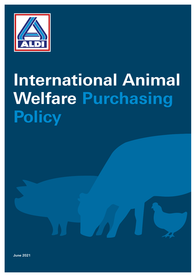

# **International Animal Welfare Purchasing Policy**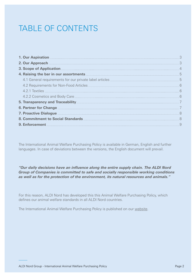### TABLE OF CONTENTS

| 1. Our Aspiration <b>Manual According to the Contract Office</b> 3                                                                                                                                                                   |  |
|--------------------------------------------------------------------------------------------------------------------------------------------------------------------------------------------------------------------------------------|--|
|                                                                                                                                                                                                                                      |  |
|                                                                                                                                                                                                                                      |  |
|                                                                                                                                                                                                                                      |  |
|                                                                                                                                                                                                                                      |  |
|                                                                                                                                                                                                                                      |  |
|                                                                                                                                                                                                                                      |  |
|                                                                                                                                                                                                                                      |  |
|                                                                                                                                                                                                                                      |  |
| 6. Partner for Change <b>Election Construction Construction</b> 7                                                                                                                                                                    |  |
| 7. Proactive Dialogue <b>Machine According to the Contract of According Contract Contract Contract Contract Contract Contract Contract Contract Contract Contract Contract Contract Contract Contract Contract Contract Contract</b> |  |
|                                                                                                                                                                                                                                      |  |
| 9. Enforcement 2000 COMPARTMENT COMPUTER COMPUTER COMPUTER COMPUTER COMPUTER COMPUTER COMPUTER COMPUTER COMPUTER COMPUTER COMPUTER COMPUTER COMPUTER COMPUTER COMPUTER COMPUTER COMPUTER COMPUTER COMPUTER COMPUTER COMPUTER C       |  |
|                                                                                                                                                                                                                                      |  |

The International Animal Welfare Purchasing Policy is available in German, English and further languages. In case of deviations between the versions, the English document will prevail.

*"Our daily decisions have an influence along the entire supply chain. The ALDI Nord Group of Companies is committed to safe and socially responsible working conditions as well as for the protection of the environment, its natural resources and animals."* 

For this reason, ALDI Nord has developed this this Animal Welfare Purchasing Policy, which defines our animal welfare standards in all ALDI Nord countries.

The International Animal Welfare Purchasing Policy is published on our website.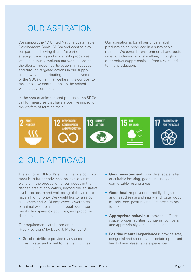### 1. OUR ASPIRATION

We support the 17 United Nations Sustainable Development Goals (SDGs) and want to play our part in achieving them. As part of our strategic thinking and materiality processes, we continuously evaluate our work based on the SDGs. Through participation in initiatives and through targeted actions in our supply chain, we are contributing to the achievement of the SDGs on animal welfare. It is our goal to make positive contributions to the animal welfare development.

In the area of animal-based products, the SDGs call for measures that have a positive impact on the welfare of farm animals.

Our aspiration is for all our private label products being produced in a sustainable manner. We consider environmental and social criteria, including animal welfare, throughout our product supply chains – from raw materials to final production.



### 2. OUR APPROACH

The aim of ALDI Nord's animal welfare commitment is to further advance the level of animal welfare in the production of our goods in the defined area of application, beyond the legislative level. The health and well-being of the animals have a high priority. We would like to raise our customers and ALDI employees' awareness of animal welfare aspects through our assortments, transparency, activities, and proactive dialogue.

Our requirements are based on the 'Five Provisions' by David J. Mellor (2016):

**• Good nutrition:** provide ready access to fresh water and a diet to maintain full health and vigour.

- **Good environment:** provide shade/shelter or suitable housing, good air quality and comfortable resting areas.
- **Good health:** prevent or rapidly diagnose and treat disease and injury, and foster good muscle tone, posture and cardiorespiratory function.
- **Appropriate behaviour:** provide sufficient space, proper facilities, congenial company and appropriately varied conditions.
- **Positive mental experiences:** provide safe, congenial and species-appropriate opportunities to have pleasurable experiences.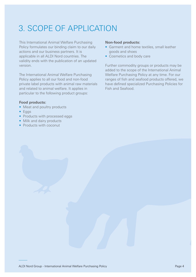### 3. SCOPE OF APPLICATION

This International Animal Welfare Purchasing Policy formulates our binding claim to our daily actions and our business partners. It is applicable in all ALDI Nord countries. The validity ends with the publication of an updated version.

The International Animal Welfare Purchasing Policy applies to all our food and non-food private label products with animal raw materials and related to animal welfare. It applies in particular to the following product groups:

#### **Food products:**

- Meat and poultry products
- Eggs
- Products with processed eggs
- Milk and dairy products
- Products with coconut

#### **Non-food products:**

- Garment and home textiles, small leather goods and shoes
- Cosmetics and body care

Further commodity groups or products may be added to the scope of the International Animal Welfare Purchasing Policy at any time. For our ranges of fish and seafood products offered, we have defined specialized Purchasing Policies for Fish and Seafood.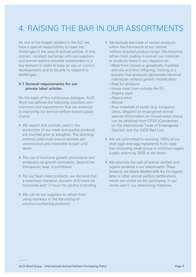4. RAISING THE BAR IN OUR ASSORTMENTS<br>As one of the largest restalers in the EU, we impose the trace of original products<br>there a special constraintly in metallic in the latter in the latter and solution in the second con As one of the largest retailers in the EU, we have a special responsibility to meet the challenges in the area of animal welfare. In this context, constant exchange with our suppliers and animal welfare-oriented stakeholders is a key element in order to keep an eye on current developments and to be able to respond to challenges.

### **4.1 General requirements for our private label articles**

On the basis of this continuous dialogue, ALDI Nord has defined the following voluntary commitments and requirements that are essential to improving our animal welfare-based supply chains:

- We expect that animals used in the production of our meat and poultry products are stunned prior to slaughter. The stunning method used must ensure animals are unconscious and insensible to pain until death.
- The use of hormone growth promotants and antibiotics as growth stimulants, beyond the therapeutic level, is prohibited.
- For our fresh meat products, we demand that a maximum transport duration of 8 hours for mammals and 12 hours for poultry is binding.
- We call on our suppliers to refrain from using monkeys in the harvesting of coconut-containing products.
- We exclude the trade of certain products within the framework of our animal welfare-oriented product range. We therefore refrain from trading in animal raw materials or products listed in our negative list:
	- Meat from cloned or genetically modified animals and their offspring. Cloning is a process that produces genetically identical individuals without genetic modification.
	- Real fur products
	- Horse meat from outside the EU
	- Angora wool
	- Alpaca wool
	- Mohair
	- Raw materials of exotic (e.g. kangaroo, zebra, alligator) or endangered animal species (Information on conservation status can be obtained from CITES (Convention on the International Trade of Endangered Species) and the IUCN Red List)
- We are committed to sourcing 100% of our shell eggs and egg ingredients from cage free (including small group or enriched cages) supply chains by 2025 at the latest.
- We promote the sale of animal welfare and organic products in our assortments. These products are clearly labelled with the EU organic label or other animal welfare certifications, which are visible on the packaging, in our stores and in our advertising materials.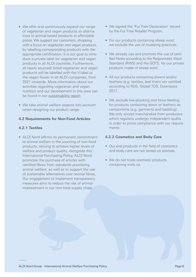- We offer and continuously expand our range of vegetarian and vegan products as alternatives to animal-based products at affordable prices. We support our customers, shopping with a focus on vegetarian and vegan products, by labelling corresponding products with the appropriate certification. It is our goal to introduce a private label for vegetarian and vegan products in all ALDI countries. Furthermore, all newly sourced/ listed vegetarian and vegan products will be labelled with the V-label or the vegan flower in all ALDI companies, from 2021 onwards. More information about our activities regarding vegetarian and vegan nutrition and our development in this area can be found in our sustainability report.
- We take animal welfare aspects into account when designing our product range.

#### **4.2 Requirements for Non-Food Articles**

### **4.2.1 Textiles**

• ALDI Nord affirms its permanent commitment to animal welfare in the sourcing of non-food products, striving to achieve higher levels of welfare and product quality. Alongside this International Purchasing Policy, ALDI Nord promotes the purchase of articles with certified fibres from standards prioritizing animal welfare, as well as to support the use of sustainable alternatives over animal fibres. Our engagement to implement transparency measures aims to reduce the risk of animal mistreatment in our non-food supply chain.

- We signed the 'Fur Free Declaration' issued by the Fur Free Retailer Program.
- For our products containing sheep wool, we exclude the use of mulesing practices.
- We already use and promote the use of certified fibres according to the Responsible Wool Standard (RWS) and the GOTS, for our private products made of sheep wool.
- All our products containing downs and/or feathers (e.g. textiles, bed linen) are certified according to RDS, Global TDS, Downpass 2017.
- We exclude live-plucking and force-feeding for products containing down or feathers as components (e.g. garments and bedding). We only accept merchandise from producers which regularly undergo independent audits in order to prove compliance with our requirements.

### **4.2.2 Cosmetics and Body Care**

- Our end products in the field of cosmetics and body care are not tested on animals.
- We do not trade cosmetic products containing mink oil.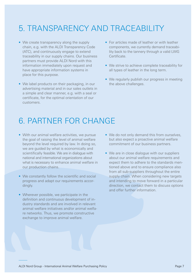### 5. TRANSPARENCY AND TRACEABILITY

- We create transparency along the supply chain, e.g. with the ALDI Transparency Code (ATC), and continuously engage to extend traceability in our supply chains. Our business partners must provide ALDI Nord with this information immediately upon request and have appropriate information systems in place for this purpose.
- We label products on their packaging, in our advertising material and in our sales outlets in a simple and clear manner, e.g. with a seal or certificate, for the optimal orientation of our customers.
- For articles made of leather or with leather components, we currently demand traceability back to the tannery through a valid LWG Certificate.
- We strive to achieve complete traceability for all types of leather in the long term.
- We regularly publish our progress in meeting the above challenges.

### 6. PARTNER FOR CHANGE

- With our animal welfare activities, we pursue the goal of raising the level of animal welfare beyond the level required by law. In doing so, we are guided by what is economically and scientifically feasible. We are in dialogue with national and international organizations about what is necessary to enhance animal welfare in our production chains.
- We constantly follow the scientific and social progress and adapt our requirements accordingly.
- Wherever possible, we participate in the definition and continuous development of industry standards and are involved in relevant animal welfare initiatives and/or animal welfare networks. Thus, we promote constructive exchange to improve animal welfare.
- We do not only demand this from ourselves, but also expect a proactive animal welfare commitment of our business partners.
- We are in close dialogue with our suppliers about our animal welfare requirements and expect them to adhere to the standards mentioned above and to ensure compliance also from all sub-suppliers throughout the entire supply chain. When considering new targets and intending to move forward in a particular direction, we contact them to discuss options and offer further information.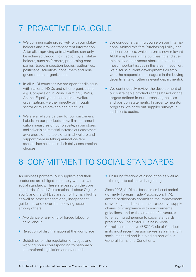## 7. PROACTIVE DIALOGUE

- We communicate proactively with our stakeholders and provide transparent information. After all, improving animal welfare can only be achieved through joint action by all stakeholders, such as farmers, processing companies, trade, inspection bodies, authorities, politicians, scientists, consumers and nongovernmental organizations.
- In all ALDI countries we are open for dialogue with national NGOs and other organizations, e.g. Compassion in World Farming (CIWF), Animal Equality and local animal welfare organizations – either directly or through sector or multi-stakeholder initiatives.
- We are a reliable partner for our customers. Labels on our products as well as communication measures on our website, in our stores and advertising material increase our customers' awareness of the topic of animal welfare and support them in taking animal welfare aspects into account in their daily consumption choices.
- We conduct a training course on our International Animal Welfare Purchasing Policy and national policies, which informs new relevant ALDI employees in the purchasing and sustainability departments about the latest and most important issues in this area. In addition, we discuss current developments directly with the responsible colleagues in the buying departments (or other relevant departments).
- We continuously review the development of our sustainable product ranges based on the targets defined in our purchasing policies and position statements. In order to monitor progress, we carry out supplier surveys in addition to audits.

## 8. COMMITMENT TO SOCIAL STANDARDS

As business partners, our suppliers and their producers are obliged to comply with relevant social standards. These are based on the core standards of the ILO (International Labour Organization), and the UN Declaration of Human Rights as well as other transnational, independent guidelines and cover the following issues, among others:

- Avoidance of any kind of forced labour or child labour
- Rejection of discrimination at the workplace
- Guidelines on the regulation of wages and working hours corresponding to national or international legislation and standards

• Ensuring freedom of association as well as the right to collective bargaining

Since 2008, ALDI has been a member of amfori (formerly Foreign Trade Association, FTA). amfori participants commit to the improvement of working conditions in their respective supply chains, to compliance with environmental guidelines, and to the creation of structures for ensuring adherence to social standards in production. The amfori Business Social Compliance Initiative (BSCI) Code of Conduct in its most recent version serves as a minimum social standard and is a binding part of our General Terms and Conditions.